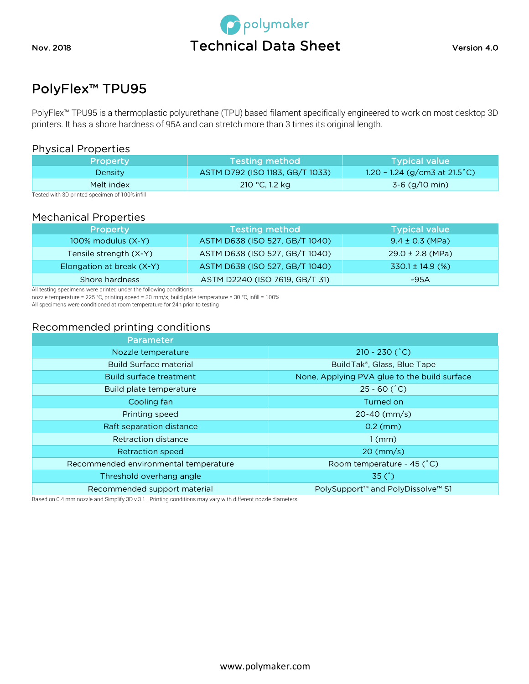

# PolyFlex™ TPU95

PolyFlex™ TPU95 is a thermoplastic polyurethane (TPU) based filament specifically engineered to work on most desktop 3D printers. It has a shore hardness of 95A and can stretch more than 3 times its original length.

#### Physical Properties

| <b>Property</b> | Testing method                  | <b>Typical value</b>                    |
|-----------------|---------------------------------|-----------------------------------------|
| Density         | ASTM D792 (ISO 1183, GB/T 1033) | 1.20 - 1.24 (g/cm3 at $21.5^{\circ}$ C) |
| Melt index      | 210 °C, 1.2 kg                  | $3-6$ (g/10 min)                        |

Tested with 3D printed specimen of 100% infill

#### Mechanical Properties

| Property                  | <b>Testing method</b>          | <b>Typical value</b> |
|---------------------------|--------------------------------|----------------------|
| 100% modulus (X-Y)        | ASTM D638 (ISO 527, GB/T 1040) | $9.4 \pm 0.3$ (MPa)  |
| Tensile strength (X-Y)    | ASTM D638 (ISO 527, GB/T 1040) | $29.0 \pm 2.8$ (MPa) |
| Elongation at break (X-Y) | ASTM D638 (ISO 527, GB/T 1040) | $330.1 \pm 14.9$ (%) |
| Shore hardness            | ASTM D2240 (ISO 7619, GB/T 31) | ~95A                 |

All testing specimens were printed under the following conditions:

nozzle temperature = 225 °C, printing speed = 30 mm/s, build plate temperature = 30 °C, infill = 100%

All specimens were conditioned at room temperature for 24h prior to testing

## Recommended printing conditions

| <b>Parameter</b>                      |                                              |
|---------------------------------------|----------------------------------------------|
| Nozzle temperature                    | $210 - 230 (°C)$                             |
| <b>Build Surface material</b>         | BuildTak®, Glass, Blue Tape                  |
| Build surface treatment               | None, Applying PVA glue to the build surface |
| Build plate temperature               | $25 - 60$ ( $^{\circ}$ C)                    |
| Cooling fan                           | Turned on                                    |
| Printing speed                        | $20-40$ (mm/s)                               |
| Raft separation distance              | $0.2$ (mm)                                   |
| Retraction distance                   | $1$ (mm)                                     |
| <b>Retraction speed</b>               | $20 \, \text{(mm/s)}$                        |
| Recommended environmental temperature | Room temperature - 45 (°C)                   |
| Threshold overhang angle              | 35(°)                                        |
| Recommended support material          | PolySupport™ and PolyDissolve™ S1            |

Based on 0.4 mm nozzle and Simplify 3D v.3.1. Printing conditions may vary with different nozzle diameters